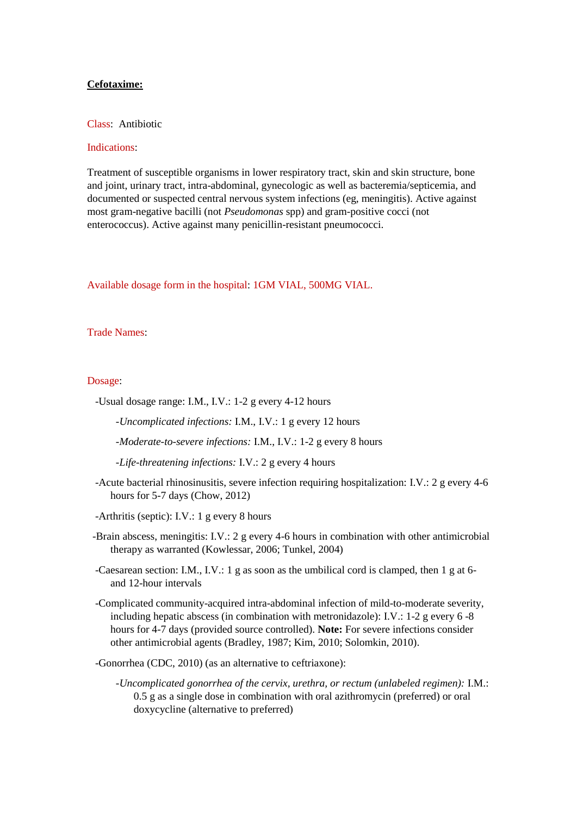# **Cefotaxime:**

## Class: Antibiotic

# Indications:

Treatment of susceptible organisms in lower respiratory tract, skin and skin structure, bone and joint, urinary tract, intra-abdominal, gynecologic as well as bacteremia/septicemia, and documented or suspected central nervous system infections (eg, meningitis). Active against most gram-negative bacilli (not *Pseudomonas* spp) and gram-positive cocci (not enterococcus). Active against many penicillin-resistant pneumococci.

Available dosage form in the hospital: 1GM VIAL, 500MG VIAL.

#### Trade Names:

## Dosage:

- -Usual dosage range: I.M., I.V.: 1-2 g every 4-12 hours
	- *-Uncomplicated infections:* I.M., I.V.: 1 g every 12 hours
	- *-Moderate-to-severe infections:* I.M., I.V.: 1-2 g every 8 hours
	- *-Life-threatening infections:* I.V.: 2 g every 4 hours
- -Acute bacterial rhinosinusitis, severe infection requiring hospitalization: I.V.: 2 g every 4-6 hours for 5-7 days (Chow, 2012)
- -Arthritis (septic): I.V.: 1 g every 8 hours
- -Brain abscess, meningitis: I.V.: 2 g every 4-6 hours in combination with other antimicrobial therapy as warranted (Kowlessar, 2006; Tunkel, 2004)
- -Caesarean section: I.M., I.V.: 1 g as soon as the umbilical cord is clamped, then 1 g at 6 and 12-hour intervals
- -Complicated community-acquired intra-abdominal infection of mild-to-moderate severity, including hepatic abscess (in combination with metronidazole): I.V.: 1-2 g every 6 -8 hours for 4-7 days (provided source controlled). **Note:** For severe infections consider other antimicrobial agents (Bradley, 1987; Kim, 2010; Solomkin, 2010).
- -Gonorrhea (CDC, 2010) (as an alternative to ceftriaxone):
	- *-Uncomplicated gonorrhea of the cervix, urethra, or rectum (unlabeled regimen):* I.M.: 0.5 g as a single dose in combination with oral azithromycin (preferred) or oral doxycycline (alternative to preferred)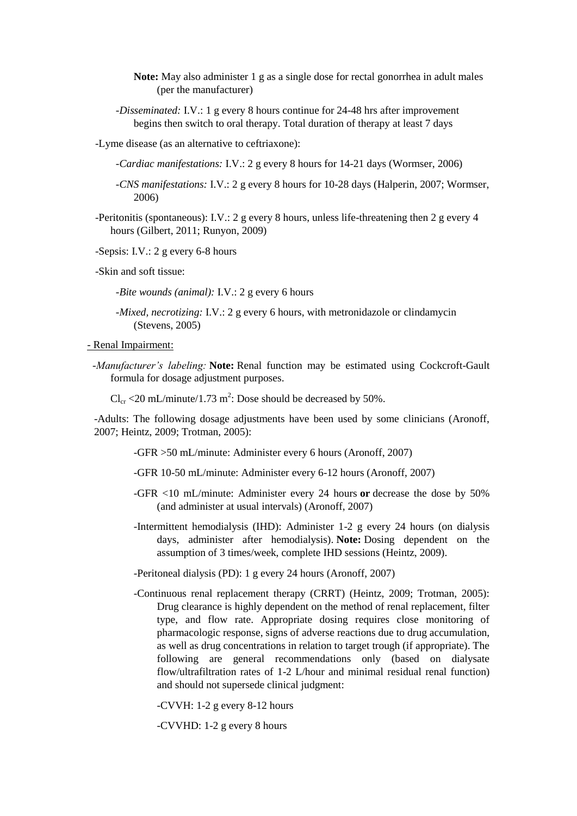- **Note:** May also administer 1 g as a single dose for rectal gonorrhea in adult males (per the manufacturer)
- *-Disseminated:* I.V.: 1 g every 8 hours continue for 24-48 hrs after improvement begins then switch to oral therapy. Total duration of therapy at least 7 days
- -Lyme disease (as an alternative to ceftriaxone):
	- *-Cardiac manifestations:* I.V.: 2 g every 8 hours for 14-21 days (Wormser, 2006)
	- *-CNS manifestations:* I.V.: 2 g every 8 hours for 10-28 days (Halperin, 2007; Wormser, 2006)
- -Peritonitis (spontaneous): I.V.: 2 g every 8 hours, unless life-threatening then 2 g every 4 hours (Gilbert, 2011; Runyon, 2009)
- -Sepsis: I.V.: 2 g every 6-8 hours
- -Skin and soft tissue:
	- *-Bite wounds (animal): I.V.: 2 g every 6 hours*
	- *-Mixed, necrotizing:* I.V.: 2 g every 6 hours, with metronidazole or clindamycin (Stevens, 2005)
- Renal Impairment:
	- *-Manufacturer's labeling:* **Note:** Renal function may be estimated using Cockcroft-Gault formula for dosage adjustment purposes.
		- $Cl_{cr}$  <20 mL/minute/1.73 m<sup>2</sup>: Dose should be decreased by 50%.

-Adults: The following dosage adjustments have been used by some clinicians (Aronoff, 2007; Heintz, 2009; Trotman, 2005):

- -GFR >50 mL/minute: Administer every 6 hours (Aronoff, 2007)
- -GFR 10-50 mL/minute: Administer every 6-12 hours (Aronoff, 2007)
- -GFR <10 mL/minute: Administer every 24 hours **or** decrease the dose by 50% (and administer at usual intervals) (Aronoff, 2007)
- -Intermittent hemodialysis (IHD): Administer 1-2 g every 24 hours (on dialysis days, administer after hemodialysis). **Note:** Dosing dependent on the assumption of 3 times/week, complete IHD sessions (Heintz, 2009).
- -Peritoneal dialysis (PD): 1 g every 24 hours (Aronoff, 2007)
- -Continuous renal replacement therapy (CRRT) (Heintz, 2009; Trotman, 2005): Drug clearance is highly dependent on the method of renal replacement, filter type, and flow rate. Appropriate dosing requires close monitoring of pharmacologic response, signs of adverse reactions due to drug accumulation, as well as drug concentrations in relation to target trough (if appropriate). The following are general recommendations only (based on dialysate flow/ultrafiltration rates of 1-2 L/hour and minimal residual renal function) and should not supersede clinical judgment:

-CVVH: 1-2 g every 8-12 hours

-CVVHD: 1-2 g every 8 hours